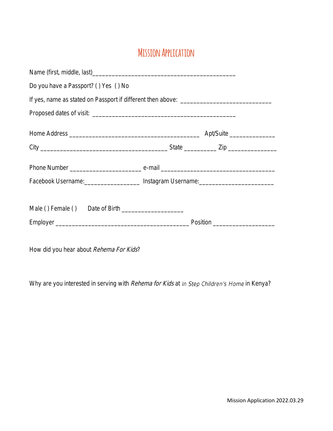## **Mission Application**

| Do you have a Passport? () Yes () No |                                                                                  |
|--------------------------------------|----------------------------------------------------------------------------------|
|                                      |                                                                                  |
|                                      |                                                                                  |
|                                      |                                                                                  |
|                                      |                                                                                  |
|                                      |                                                                                  |
|                                      | Facebook Username: ____________________ Instagram Username: ____________________ |
|                                      |                                                                                  |
|                                      |                                                                                  |
|                                      |                                                                                  |

How did you hear about Rehema For Kids?

Why are you interested in serving with Rehema for Kids at In Step Children's Home in Kenya?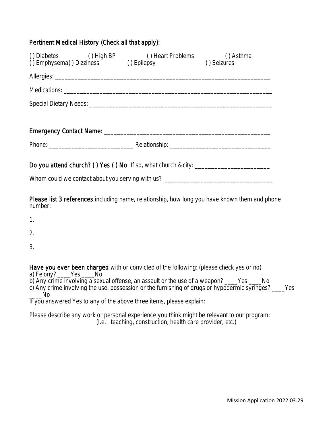## Pertinent Medical History (Check all that apply):

| () Diabetes () High BP () Heart Problems () Seizures () Emphysema () Dizziness () Epilepsy () Seizures                                                                 |  |  |  |
|------------------------------------------------------------------------------------------------------------------------------------------------------------------------|--|--|--|
|                                                                                                                                                                        |  |  |  |
|                                                                                                                                                                        |  |  |  |
|                                                                                                                                                                        |  |  |  |
|                                                                                                                                                                        |  |  |  |
|                                                                                                                                                                        |  |  |  |
|                                                                                                                                                                        |  |  |  |
| Do you attend church? () Yes () No If so, what church & city: ___________________<br>Whom could we contact about you serving with us? ________________________________ |  |  |  |
| <b>Please list 3 references</b> including name, relationship, how long you have known them and pho                                                                     |  |  |  |

ig riame, relationship, how long you have known them and phone number:

1.

2.

3.

Have you ever been charged with or convicted of the following: (please check yes or no)

a) Felony? \_\_\_\_Yes \_\_\_\_No

b) Any crime involving a sexual offense, an assault or the use of a weapon? \_\_\_\_Yes \_\_\_\_No

c) Any crime involving the use, possession or the furnishing of drugs or hypodermic syringes? \_\_\_\_Yes  $\overline{N}$ o

If you answered Yes to any of the above three items, please explain:

Please describe any work or personal experience you think might be relevant to our program: (I.e. -teaching, construction, health care provider, etc.)